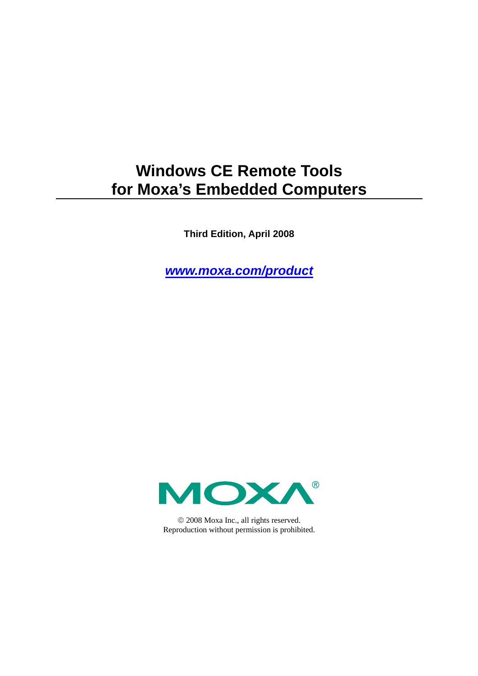## **Windows CE Remote Tools for Moxa's Embedded Computers**

**Third Edition, April 2008** 

*[www.moxa.com/product](http://www.moxa.com/product)*



© 2008 Moxa Inc., all rights reserved. Reproduction without permission is prohibited.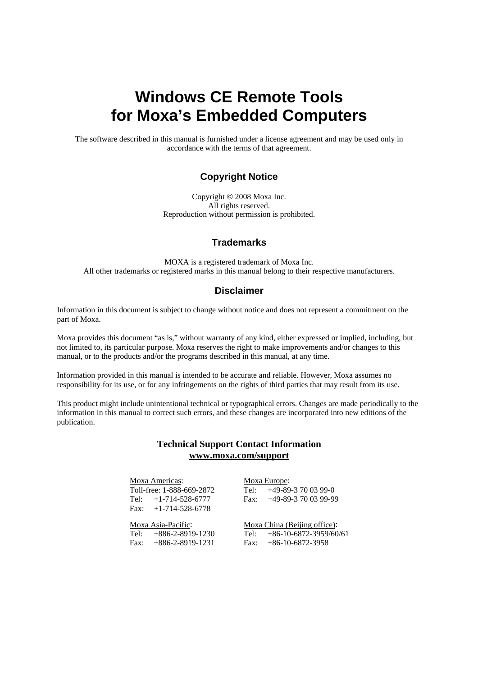## **Windows CE Remote Tools for Moxa's Embedded Computers**

The software described in this manual is furnished under a license agreement and may be used only in accordance with the terms of that agreement.

### **Copyright Notice**

Copyright © 2008 Moxa Inc. All rights reserved. Reproduction without permission is prohibited.

### **Trademarks**

MOXA is a registered trademark of Moxa Inc. All other trademarks or registered marks in this manual belong to their respective manufacturers.

#### **Disclaimer**

Information in this document is subject to change without notice and does not represent a commitment on the part of Moxa.

Moxa provides this document "as is," without warranty of any kind, either expressed or implied, including, but not limited to, its particular purpose. Moxa reserves the right to make improvements and/or changes to this manual, or to the products and/or the programs described in this manual, at any time.

Information provided in this manual is intended to be accurate and reliable. However, Moxa assumes no responsibility for its use, or for any infringements on the rights of third parties that may result from its use.

This product might include unintentional technical or typographical errors. Changes are made periodically to the information in this manual to correct such errors, and these changes are incorporated into new editions of the publication.

### **Technical Support Contact Information [www.moxa.com/support](http://www.moxa.com/support)**

| Moxa Americas:            |  |
|---------------------------|--|
| Toll-free: 1-888-669-2872 |  |
| Tel: $+1-714-528-6777$    |  |
| Fax: $+1-714-528-6778$    |  |
| Moxa Asia-Pacific:        |  |
| Tel: $+886-2-8919-1230$   |  |
| Fax: $+886-2-8919-1231$   |  |

Moxa Europe: Tel: +49-89-3 70 03 99-0 Fax: +49-89-3 70 03 99-99

Moxa China (Beijing office): Tel: +86-10-6872-3959/60/61 Fax: +86-10-6872-3958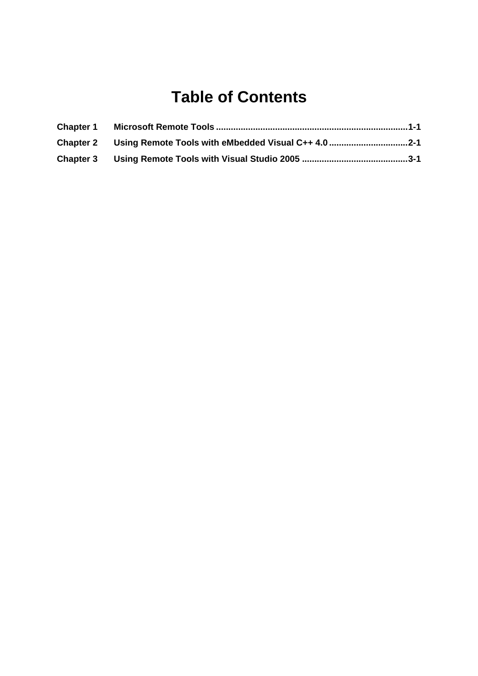## **Table of Contents**

| <b>Chapter 1</b> |  |
|------------------|--|
|                  |  |
|                  |  |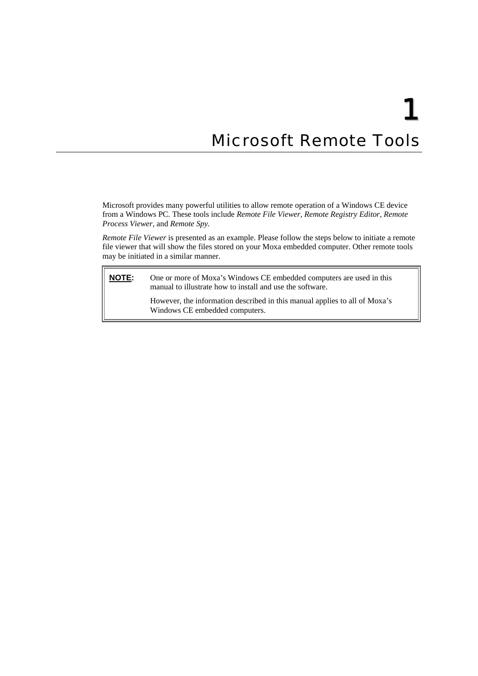# 1 **Microsoft Remote Tools**

<span id="page-3-0"></span>Microsoft provides many powerful utilities to allow remote operation of a Windows CE device from a Windows PC. These tools include *Remote File Viewer, Remote Registry Editor, Remote Process Viewer,* and *Remote Spy.* 

*Remote File Viewer* is presented as an example. Please follow the steps below to initiate a remote file viewer that will show the files stored on your Moxa embedded computer. Other remote tools may be initiated in a similar manner.

**NOTE:** One or more of Moxa's Windows CE embedded computers are used in this manual to illustrate how to install and use the software.

> However, the information described in this manual applies to all of Moxa's Windows CE embedded computers.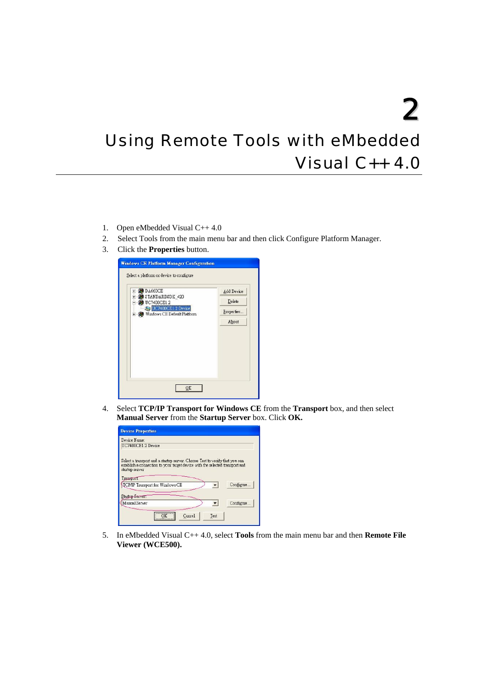<span id="page-4-0"></span>2 Using Remote Tools with eMbedded Visual C++ 4.0

- 1. Open eMbedded Visual C++ 4.0
- 2. Select Tools from the main menu bar and then click Configure Platform Manager.
- 3. Click the **Properties** button.



4. Select **TCP/IP Transport for Windows CE** from the **Transport** box, and then select **Manual Server** from the **Startup Server** box. Click **OK.** 

| Device Name:                 |                                                                                                                                                                                                       |  |            |
|------------------------------|-------------------------------------------------------------------------------------------------------------------------------------------------------------------------------------------------------|--|------------|
| <b>ITC7400CE1 2 Device</b>   |                                                                                                                                                                                                       |  |            |
| startup server<br>Transport: | Select a transport and a startup server. Choose Test to verify that you can<br>establish a connection to your target device with the selected transport and<br><b>ICP/IP Transport for Windows CE</b> |  | Configure. |
| Startup Server:              |                                                                                                                                                                                                       |  |            |
|                              |                                                                                                                                                                                                       |  | Configure  |

5. In eMbedded Visual C++ 4.0, select **Tools** from the main menu bar and then **Remote File Viewer (WCE500).**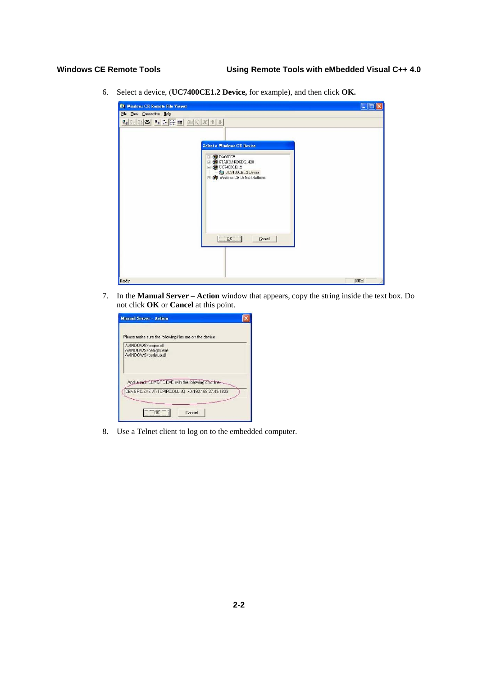6. Select a device, (**UC7400CE1.2 Device,** for example), and then click **OK.** 

| <b>Q1 Windows CE Remote File Viewer</b>                                                                                    | $\Box$ o $\times$ |
|----------------------------------------------------------------------------------------------------------------------------|-------------------|
| File Yew Connection Help                                                                                                   |                   |
| 20 9 9 2 5 田田 田田1 1 1                                                                                                      |                   |
|                                                                                                                            |                   |
|                                                                                                                            |                   |
| <b>Select a Windows CE Device</b>                                                                                          |                   |
| DA660CE<br>Đ<br>+ @ STANDARDSDK_420<br><b>@</b> UC740DCE1.2<br>G)<br>UC7400CE1.2 Device<br>+ G Windows CE Default Platform |                   |
|                                                                                                                            |                   |
| $C$ OK<br>Cancel                                                                                                           |                   |
|                                                                                                                            |                   |
| Ready                                                                                                                      | <b>NUM</b>        |

7. In the **Manual Server – Action** window that appears, copy the string inside the text box. Do not click **OK** or **Cancel** at this point.

| <b>Manual Server - Action</b>                                                                           |  |  |
|---------------------------------------------------------------------------------------------------------|--|--|
| Please make sure the following files are on the device                                                  |  |  |
| WINDOWS \topipe.dll<br>\WINDDWS\cemgrc.exe<br>\\v1NDD\v/S\cellstub.dll                                  |  |  |
| And launch CEMGRC EXE with the following critichne<br>CEMGRC.EXE /T:TCPIPC.DLL /D /D:192.168.27.43:1823 |  |  |
|                                                                                                         |  |  |

8. Use a Telnet client to log on to the embedded computer.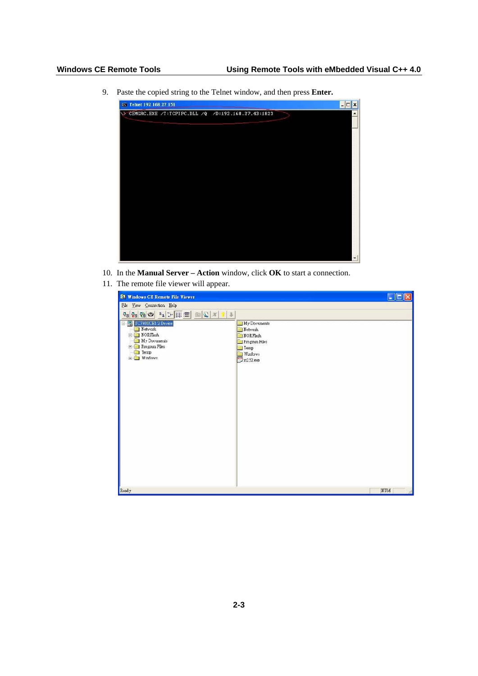9. Paste the copied string to the Telnet window, and then press **Enter.** 

| ev Telnet 192.168.27.151                             | $ \Box$ $\times$         |
|------------------------------------------------------|--------------------------|
| >> CEMGRC.EXE /T:TCPIPC.DLL /Q /D:192.168.27.43:1823 |                          |
|                                                      |                          |
|                                                      |                          |
|                                                      |                          |
|                                                      |                          |
|                                                      |                          |
|                                                      |                          |
|                                                      |                          |
|                                                      |                          |
|                                                      |                          |
|                                                      |                          |
|                                                      | $\overline{\phantom{a}}$ |

- 10. In the **Manual Server Action** window, click **OK** to start a connection.
- 11. The remote file viewer will appear.

| <b>EV Windows CE Remote File Viewer</b>                                                                                                                                                                                                                                                                                                                                                                                                                     |                                                                                                        | F   |
|-------------------------------------------------------------------------------------------------------------------------------------------------------------------------------------------------------------------------------------------------------------------------------------------------------------------------------------------------------------------------------------------------------------------------------------------------------------|--------------------------------------------------------------------------------------------------------|-----|
| File Yiew Connection Help                                                                                                                                                                                                                                                                                                                                                                                                                                   |                                                                                                        |     |
| $\mathbb{E}_{\mathbf{B}}\left[\mathbb{E}_{\mathbf{B}}\left\vert \mathbb{E}_{\mathbf{B}}\right\vert \mathbb{E}_{\mathbf{B}}\right] \geq \frac{1}{\left\Vert \mathbb{E}_{\mathbf{B}}\left\vert \mathbb{E}\right\vert \mathbb{E}_{\mathbf{B}}\right\Vert \mathbb{E}_{\mathbf{B}}\right\Vert \mathbb{E}_{\mathbf{B}}\left\vert \mathbb{E}_{\mathbf{B}}\right\vert \mathbb{E}_{\mathbf{B}}\left\vert \mathbb{E}_{\mathbf{B}}\right\vert \mathbb{E}_{\mathbf{B}}$ |                                                                                                        |     |
| Device<br>Network<br>F NORFlash<br>My Documents<br>Files<br>Temp<br>Highland Windows                                                                                                                                                                                                                                                                                                                                                                        | My Documents<br>Network<br><b>NORFlash</b><br>Program Files<br>Temp<br>Windows<br>$\sqrt{1}$ rs232.exe |     |
| Ready                                                                                                                                                                                                                                                                                                                                                                                                                                                       |                                                                                                        | NUM |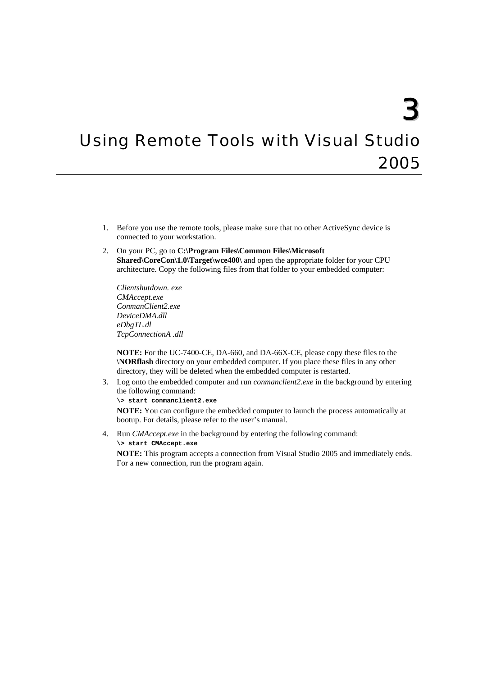## <span id="page-7-0"></span>**Using Remote Tools with Visual Studio** 2005

- 1. Before you use the remote tools, please make sure that no other ActiveSync device is connected to your workstation.
- 2. On your PC, go to **C:\Program Files\Common Files\Microsoft Shared\CoreCon\1.0\Target\wce400\** and open the appropriate folder for your CPU architecture. Copy the following files from that folder to your embedded computer:

*Clientshutdown. exe CMAccept.exe ConmanClient2.exe DeviceDMA.dll eDbgTL.dl TcpConnectionA .dll* 

**NOTE:** For the UC-7400-CE, DA-660, and DA-66X-CE, please copy these files to the **\NORflash** directory on your embedded computer. If you place these files in any other directory, they will be deleted when the embedded computer is restarted.

- 3. Log onto the embedded computer and run *conmanclient2.exe* in the background by entering the following command:
	- **\> start conmanclient2.exe**

**NOTE:** You can configure the embedded computer to launch the process automatically at bootup. For details, please refer to the user's manual.

4. Run *CMAccept.exe* in the background by entering the following command: **\> start CMAccept.exe** 

**NOTE:** This program accepts a connection from Visual Studio 2005 and immediately ends. For a new connection, run the program again.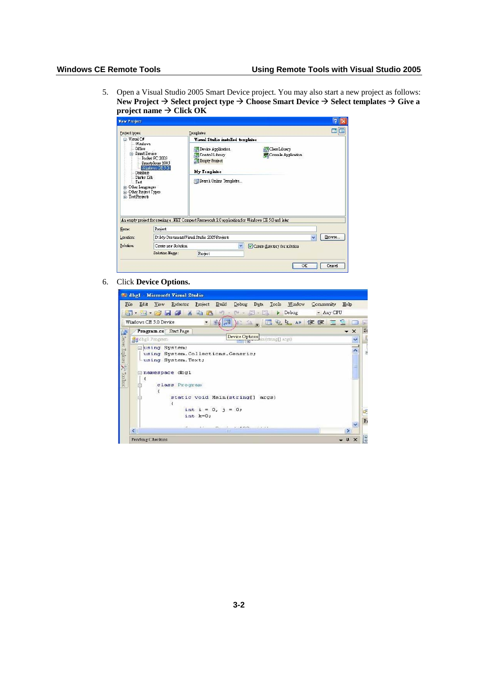5. Open a Visual Studio 2005 Smart Device project. You may also start a new project as follows: New Project  $\rightarrow$  Select project type  $\rightarrow$  Choose Smart Device  $\rightarrow$  Select templates  $\rightarrow$  Give a  $\text{project name} \to \text{Click OK}$ 

| <b>New Project</b>                                                                                                                                                                                                                                                     |                      | Templates:                                                                                                                                           |                                             | 圍<br>HМ                |
|------------------------------------------------------------------------------------------------------------------------------------------------------------------------------------------------------------------------------------------------------------------------|----------------------|------------------------------------------------------------------------------------------------------------------------------------------------------|---------------------------------------------|------------------------|
| Project types:<br>Visual C#<br>⊟<br>Windows<br>Office<br><b>E-Smert Device</b><br>Pocket PC 2003<br>Smortphone 2003<br>Wilmow DE 5.3<br>Database<br>Starter Kits<br>Test<br>Other Lenguages<br>田<br>Other Project Types<br>$\overline{r}$<br><b>Test Projects</b><br>Ĥ |                      | Visual Studio installed templates<br><b>Period</b> Application<br>Control Library<br><b>Empty Project</b><br>My Templates<br>Search Online Templates | Class Library<br><b>Console Application</b> |                        |
|                                                                                                                                                                                                                                                                        |                      |                                                                                                                                                      |                                             |                        |
|                                                                                                                                                                                                                                                                        |                      | An empty project for creeling a NET Compect Fremework 2.0 application for Windows CE 5.0 and later                                                   |                                             |                        |
|                                                                                                                                                                                                                                                                        | Project              | D:\My Documents\Visual Studio 2005\Projects                                                                                                          |                                             | Erowse<br>$\mathbf{v}$ |
| Neme:<br>Location:<br>Solution:                                                                                                                                                                                                                                        | Create new Solution. | Y                                                                                                                                                    | Create directory for solution               |                        |

6. Click **Device Options.** 

|                           | <b>20 dhg1 - Microsoft Visual Studio</b>                                                           |                          |
|---------------------------|----------------------------------------------------------------------------------------------------|--------------------------|
| File                      | Data Tools Window<br>Refactor Project Build<br>Debug<br>Community Help<br>Edit<br><b>View</b>      |                          |
|                           | 1. 2. 3. 4 % & 8 9 . 0 . 2. 2<br>$\blacktriangleright$ Debug<br>- Any CPU                          |                          |
|                           | ACS . 回名上 # 建建 三 全<br>Windows CE 5.0 Device                                                        |                          |
| 峰                         | Program.cs Start Page<br>$\overline{\phantom{0}}$                                                  | $\mathbb{S}$<br>$\times$ |
|                           | Device Options in (thing[] args)<br><b>St</b> dbgl Program                                         | $\overline{\phantom{a}}$ |
| Server Explorer X Toolbox | <b>Eusing System:</b><br>using System. Collections. Generic;<br>-using System. Text;               | $\overrightarrow{E}$     |
|                           | mamespace dbg1<br>₹                                                                                |                          |
|                           | class Program                                                                                      |                          |
|                           | static void Main(string[] args)<br>int $i = 0, j = 0;$                                             |                          |
|                           | $int$ $k=0$ ;                                                                                      | Q                        |
|                           | 4.11<br>14.00<br>$-1114 - 18$<br>$\left\langle \cdot \right\rangle$<br>$\rightarrow$<br><b>ISE</b> | $\overline{P}$           |
|                           | $\frac{\pi}{2}$<br>Pending Checkins                                                                | E                        |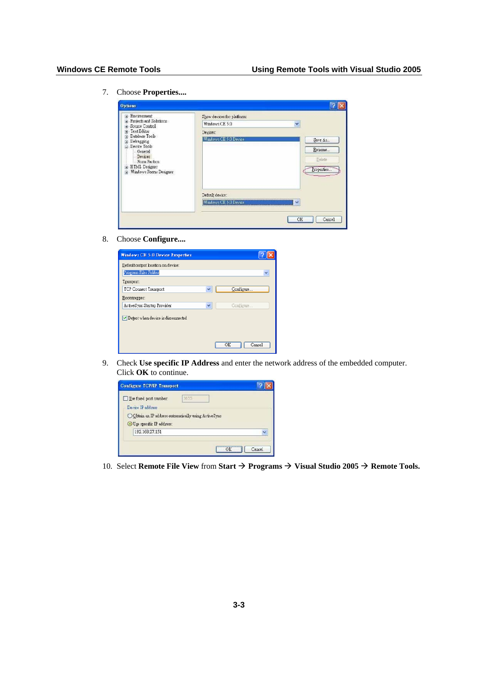7. Choose **Properties....** 

| Environment<br>围                                 | Show devices for platform: |            |
|--------------------------------------------------|----------------------------|------------|
| F Projects and Solutions<br>Source Control<br>Ĥ. | Windows CE 5.0             | Y          |
| Text Editor<br>崖                                 | Devices:                   |            |
| Database Tools<br>国<br>Debugging                 | Windows CE 5.0 Device      | Save As    |
| Device Tools                                     |                            | Rename     |
| General<br>Devices                               |                            |            |
| Form Factors<br><b>HTML</b> Designer             |                            | Delete     |
| iei.<br>Windows Forms Designer                   |                            | Properties |
|                                                  |                            |            |
|                                                  |                            |            |
|                                                  | Default device:            |            |
|                                                  | Wmdows CE 5.0 Devsce       | v          |
|                                                  |                            |            |

8. Choose **Configure....** 

| Windows CE 5.0 Device Properties   |                           |
|------------------------------------|---------------------------|
| Default output location on device: |                           |
| Program Files Folder               | v                         |
| Transport                          |                           |
| TCP Connect Transport              | Configure<br>$\checkmark$ |
| Bootstrapper:                      |                           |
| ActiveSync Startup Provider        | $\checkmark$<br>Configure |
| Detect when device is disconnected |                           |
|                                    |                           |
|                                    |                           |
|                                    | OK<br>Cancel              |

9. Check **Use specific IP Address** and enter the network address of the embedded computer. Click **OK** to continue.



10. Select **Remote File View** from **Start**  $\rightarrow$  **Programs**  $\rightarrow$  **Visual Studio 2005**  $\rightarrow$  **Remote Tools.**